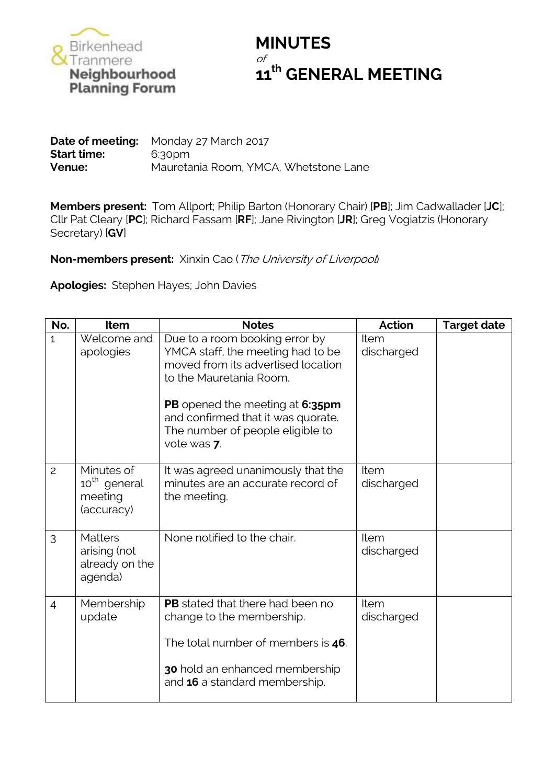

## **MINUTES** of **th GENERAL MEETING**

**Date of meeting:** Monday 27 March 2017 **Start time:** 6:30pm **Venue:** Mauretania Room, YMCA, Whetstone Lane

**Members present:** Tom Allport; Philip Barton (Honorary Chair) [**PB**]; Jim Cadwallader [**JC**]; Cllr Pat Cleary [**PC**]; Richard Fassam [**RF**]; Jane Rivington [**JR**]; Greg Vogiatzis (Honorary Secretary) [**GV**]

**Non-members present:** Xinxin Cao (The University of Liverpool)

**Apologies:** Stephen Hayes; John Davies

| No.            | Item                                                            | <b>Notes</b>                                                                                                                                                                                                                                                     | <b>Action</b>      | <b>Target date</b> |
|----------------|-----------------------------------------------------------------|------------------------------------------------------------------------------------------------------------------------------------------------------------------------------------------------------------------------------------------------------------------|--------------------|--------------------|
| $\mathbf{1}$   | Welcome and<br>apologies                                        | Due to a room booking error by<br>YMCA staff, the meeting had to be<br>moved from its advertised location<br>to the Mauretania Room.<br>PB opened the meeting at 6:35pm<br>and confirmed that it was quorate.<br>The number of people eligible to<br>vote was 7. | Item<br>discharged |                    |
| $\overline{c}$ | Minutes of<br>10 <sup>th</sup> general<br>meeting<br>(accuracy) | It was agreed unanimously that the<br>minutes are an accurate record of<br>the meeting.                                                                                                                                                                          | Item<br>discharged |                    |
| 3              | <b>Matters</b><br>arising (not<br>already on the<br>agenda)     | None notified to the chair.                                                                                                                                                                                                                                      | Item<br>discharged |                    |
| $\overline{4}$ | Membership<br>update                                            | <b>PB</b> stated that there had been no<br>change to the membership.<br>The total number of members is 46.<br>30 hold an enhanced membership<br>and 16 a standard membership.                                                                                    | Item<br>discharged |                    |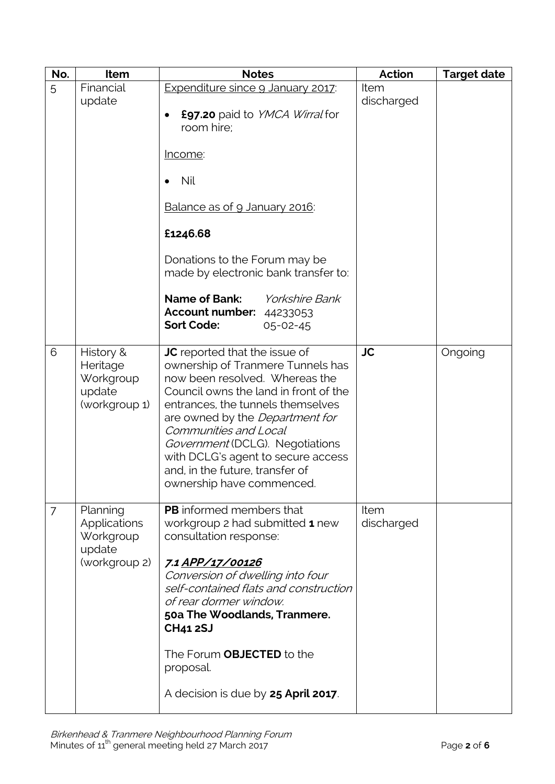| No.            | Item                                                                    | <b>Notes</b>                                                                                                                                                                                                                                                                                                                                                                                   | <b>Action</b>      | <b>Target date</b> |
|----------------|-------------------------------------------------------------------------|------------------------------------------------------------------------------------------------------------------------------------------------------------------------------------------------------------------------------------------------------------------------------------------------------------------------------------------------------------------------------------------------|--------------------|--------------------|
| 5              | Financial<br>update                                                     | Expenditure since 9 January 2017:<br>£97.20 paid to YMCA Wirral for<br>room hire;<br>Income:<br><b>Nil</b><br>$\bullet$<br>Balance as of 9 January 2016:<br>£1246.68<br>Donations to the Forum may be<br>made by electronic bank transfer to:<br><b>Name of Bank:</b><br><b>Yorkshire Bank</b><br><b>Account number: 44233053</b><br><b>Sort Code:</b><br>$05 - 02 - 45$                       | Item<br>discharged |                    |
| 6              | History &<br>Heritage<br>Workgroup<br>update<br>(workgroup 1)           | JC reported that the issue of<br>ownership of Tranmere Tunnels has<br>now been resolved. Whereas the<br>Council owns the land in front of the<br>entrances, the tunnels themselves<br>are owned by the <i>Department for</i><br>Communities and Local<br>Government (DCLG). Negotiations<br>with DCLG's agent to secure access<br>and, in the future, transfer of<br>ownership have commenced. | <b>JC</b>          | Ongoing            |
| $\overline{7}$ | Planning<br><b>Applications</b><br>Workgroup<br>update<br>(workgroup 2) | <b>PB</b> informed members that<br>workgroup 2 had submitted 1 new<br>consultation response:<br>7.1 APP/17/00126<br>Conversion of dwelling into four<br>self-contained flats and construction<br>of rear dormer window.<br>50a The Woodlands, Tranmere.<br><b>CH41 2SJ</b><br>The Forum OBJECTED to the<br>proposal.<br>A decision is due by 25 April 2017.                                    | Item<br>discharged |                    |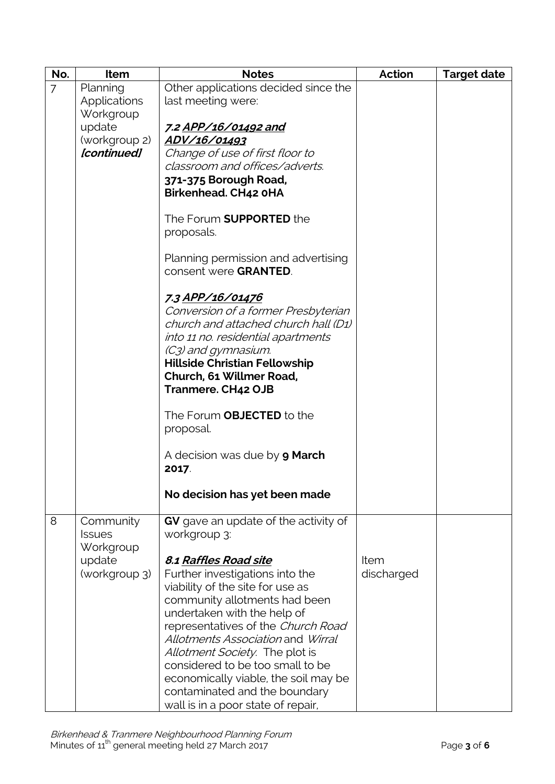| No.            | Item                       | <b>Notes</b>                                | Action     | <b>Target date</b> |
|----------------|----------------------------|---------------------------------------------|------------|--------------------|
| $\overline{7}$ | Planning                   | Other applications decided since the        |            |                    |
|                | <b>Applications</b>        | last meeting were:                          |            |                    |
|                | Workgroup                  |                                             |            |                    |
|                | update                     | 7.2 APP/16/01492 and                        |            |                    |
|                | (workgroup 2)              | ADV/16/01493                                |            |                    |
|                | [continued]                | Change of use of first floor to             |            |                    |
|                |                            | classroom and offices/adverts.              |            |                    |
|                |                            | 371-375 Borough Road,                       |            |                    |
|                |                            | <b>Birkenhead. CH42 0HA</b>                 |            |                    |
|                |                            | The Forum <b>SUPPORTED</b> the              |            |                    |
|                |                            | proposals.                                  |            |                    |
|                |                            |                                             |            |                    |
|                |                            | Planning permission and advertising         |            |                    |
|                |                            | consent were GRANTED.                       |            |                    |
|                |                            |                                             |            |                    |
|                |                            | 7.3 APP/16/01476                            |            |                    |
|                |                            | Conversion of a former Presbyterian         |            |                    |
|                |                            | church and attached church hall (D1)        |            |                    |
|                |                            | into 11 no. residential apartments          |            |                    |
|                |                            | (C3) and gymnasium.                         |            |                    |
|                |                            | <b>Hillside Christian Fellowship</b>        |            |                    |
|                |                            | Church, 61 Willmer Road,                    |            |                    |
|                |                            | <b>Tranmere. CH42 OJB</b>                   |            |                    |
|                |                            | The Forum <b>OBJECTED</b> to the            |            |                    |
|                |                            | proposal.                                   |            |                    |
|                |                            |                                             |            |                    |
|                |                            | A decision was due by <b>9 March</b>        |            |                    |
|                |                            | 2017.                                       |            |                    |
|                |                            |                                             |            |                    |
|                |                            | No decision has yet been made               |            |                    |
|                |                            |                                             |            |                    |
| 8              | Community                  | <b>GV</b> gave an update of the activity of |            |                    |
|                | <b>Issues</b><br>Workgroup | workgroup 3:                                |            |                    |
|                | update                     | 8.1 Raffles Road site                       | Item       |                    |
|                | (workgroup 3)              | Further investigations into the             | discharged |                    |
|                |                            | viability of the site for use as            |            |                    |
|                |                            | community allotments had been               |            |                    |
|                |                            | undertaken with the help of                 |            |                    |
|                |                            | representatives of the Church Road          |            |                    |
|                |                            | Allotments Association and Wirral           |            |                    |
|                |                            | <i>Allotment Society</i> . The plot is      |            |                    |
|                |                            | considered to be too small to be            |            |                    |
|                |                            | economically viable, the soil may be        |            |                    |
|                |                            | contaminated and the boundary               |            |                    |
|                |                            | wall is in a poor state of repair,          |            |                    |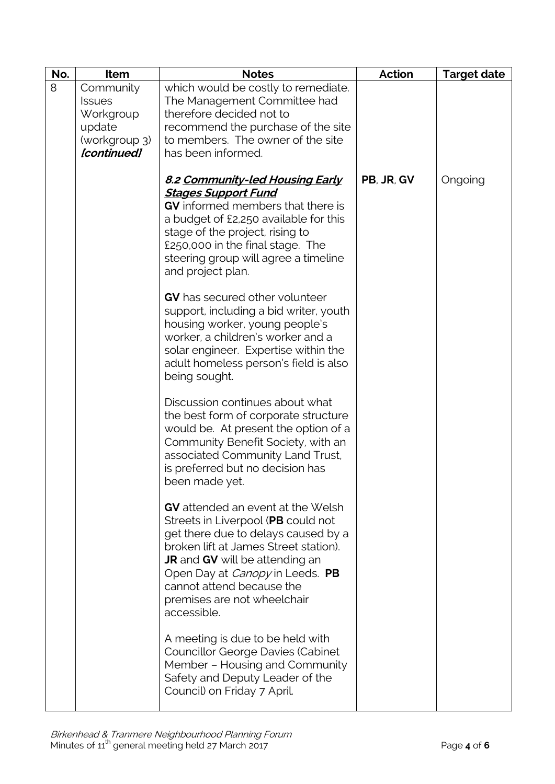| No. | Item                                                                              | <b>Notes</b>                                                                                                                                                                                                                                                                                                                 | <b>Action</b> | <b>Target date</b> |
|-----|-----------------------------------------------------------------------------------|------------------------------------------------------------------------------------------------------------------------------------------------------------------------------------------------------------------------------------------------------------------------------------------------------------------------------|---------------|--------------------|
| 8   | Community<br><b>Issues</b><br>Workgroup<br>update<br>(workgroup 3)<br>[continued] | which would be costly to remediate.<br>The Management Committee had<br>therefore decided not to<br>recommend the purchase of the site<br>to members. The owner of the site<br>has been informed.                                                                                                                             |               |                    |
|     |                                                                                   | 8.2 Community-led Housing Early<br><b>Stages Support Fund</b><br>GV informed members that there is<br>a budget of £2,250 available for this<br>stage of the project, rising to<br>£250,000 in the final stage. The<br>steering group will agree a timeline<br>and project plan.                                              | PB, JR, GV    | Ongoing            |
|     |                                                                                   | <b>GV</b> has secured other volunteer<br>support, including a bid writer, youth<br>housing worker, young people's<br>worker, a children's worker and a<br>solar engineer. Expertise within the<br>adult homeless person's field is also<br>being sought.                                                                     |               |                    |
|     |                                                                                   | Discussion continues about what<br>the best form of corporate structure<br>would be. At present the option of a<br>Community Benefit Society, with an<br>associated Community Land Trust,<br>is preferred but no decision has<br>been made yet.                                                                              |               |                    |
|     |                                                                                   | <b>GV</b> attended an event at the Welsh<br>Streets in Liverpool (PB could not<br>get there due to delays caused by a<br>broken lift at James Street station).<br><b>JR</b> and <b>GV</b> will be attending an<br>Open Day at Canopy in Leeds. PB<br>cannot attend because the<br>premises are not wheelchair<br>accessible. |               |                    |
|     |                                                                                   | A meeting is due to be held with<br>Councillor George Davies (Cabinet<br>Member – Housing and Community<br>Safety and Deputy Leader of the<br>Council) on Friday 7 April.                                                                                                                                                    |               |                    |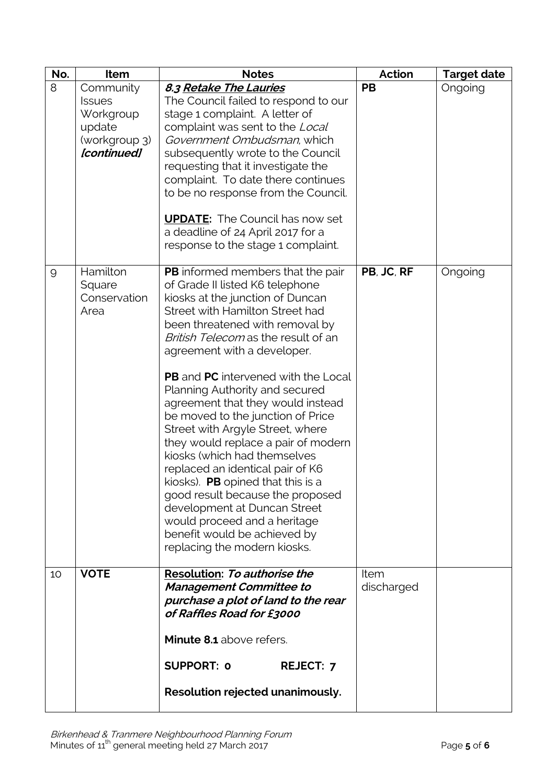| No. | Item                                                                              | <b>Notes</b>                                                                                                                                                                                                                                                                                                                                                                                                                                                                                                                                                                                                                                                                                                                                                                         | Action                    | <b>Target date</b> |
|-----|-----------------------------------------------------------------------------------|--------------------------------------------------------------------------------------------------------------------------------------------------------------------------------------------------------------------------------------------------------------------------------------------------------------------------------------------------------------------------------------------------------------------------------------------------------------------------------------------------------------------------------------------------------------------------------------------------------------------------------------------------------------------------------------------------------------------------------------------------------------------------------------|---------------------------|--------------------|
| 8   | Community<br><b>Issues</b><br>Workgroup<br>update<br>(workgroup 3)<br>[continued] | 8.3 Retake The Lauries<br>The Council failed to respond to our<br>stage 1 complaint. A letter of<br>complaint was sent to the Local<br>Government Ombudsman, which<br>subsequently wrote to the Council<br>requesting that it investigate the<br>complaint. To date there continues<br>to be no response from the Council.<br><b>UPDATE:</b> The Council has now set<br>a deadline of 24 April 2017 for a<br>response to the stage 1 complaint.                                                                                                                                                                                                                                                                                                                                      | <b>PB</b>                 | Ongoing            |
| 9   | Hamilton<br>Square<br>Conservation<br>Area                                        | PB informed members that the pair<br>of Grade II listed K6 telephone<br>kiosks at the junction of Duncan<br>Street with Hamilton Street had<br>been threatened with removal by<br>British Telecom as the result of an<br>agreement with a developer.<br><b>PB</b> and <b>PC</b> intervened with the Local<br>Planning Authority and secured<br>agreement that they would instead<br>be moved to the junction of Price<br>Street with Argyle Street, where<br>they would replace a pair of modern<br>kiosks (which had themselves<br>replaced an identical pair of K6<br>kiosks). <b>PB</b> opined that this is a<br>good result because the proposed<br>development at Duncan Street<br>would proceed and a heritage<br>benefit would be achieved by<br>replacing the modern kiosks. | PB, JC, RF                | Ongoing            |
| 10  | <b>VOTE</b>                                                                       | Resolution: To authorise the<br><b>Management Committee to</b><br>purchase a plot of land to the rear<br>of Raffles Road for £3000<br>Minute 8.1 above refers.<br><b>SUPPORT: 0</b><br><b>REJECT: 7</b><br>Resolution rejected unanimously.                                                                                                                                                                                                                                                                                                                                                                                                                                                                                                                                          | <b>Item</b><br>discharged |                    |